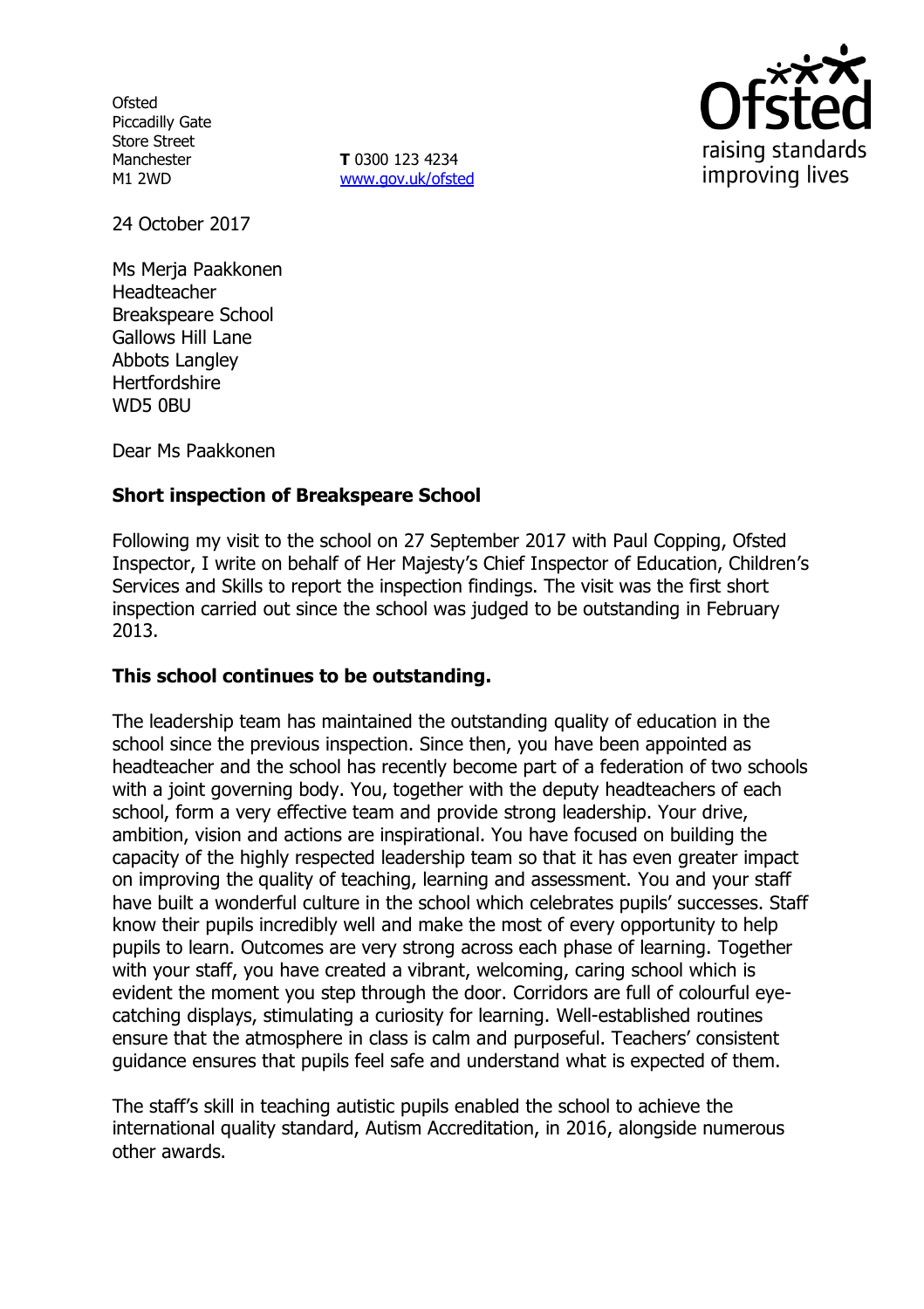**Ofsted** Piccadilly Gate Store Street Manchester M1 2WD

**T** 0300 123 4234 [www.gov.uk/ofsted](http://www.gov.uk/ofsted)



24 October 2017

Ms Merja Paakkonen Headteacher Breakspeare School Gallows Hill Lane Abbots Langley **Hertfordshire** WD5 0BU

Dear Ms Paakkonen

# **Short inspection of Breakspeare School**

Following my visit to the school on 27 September 2017 with Paul Copping, Ofsted Inspector, I write on behalf of Her Majesty's Chief Inspector of Education, Children's Services and Skills to report the inspection findings. The visit was the first short inspection carried out since the school was judged to be outstanding in February 2013.

## **This school continues to be outstanding.**

The leadership team has maintained the outstanding quality of education in the school since the previous inspection. Since then, you have been appointed as headteacher and the school has recently become part of a federation of two schools with a joint governing body. You, together with the deputy headteachers of each school, form a very effective team and provide strong leadership. Your drive, ambition, vision and actions are inspirational. You have focused on building the capacity of the highly respected leadership team so that it has even greater impact on improving the quality of teaching, learning and assessment. You and your staff have built a wonderful culture in the school which celebrates pupils' successes. Staff know their pupils incredibly well and make the most of every opportunity to help pupils to learn. Outcomes are very strong across each phase of learning. Together with your staff, you have created a vibrant, welcoming, caring school which is evident the moment you step through the door. Corridors are full of colourful eyecatching displays, stimulating a curiosity for learning. Well-established routines ensure that the atmosphere in class is calm and purposeful. Teachers' consistent guidance ensures that pupils feel safe and understand what is expected of them.

The staff's skill in teaching autistic pupils enabled the school to achieve the international quality standard, Autism Accreditation, in 2016, alongside numerous other awards.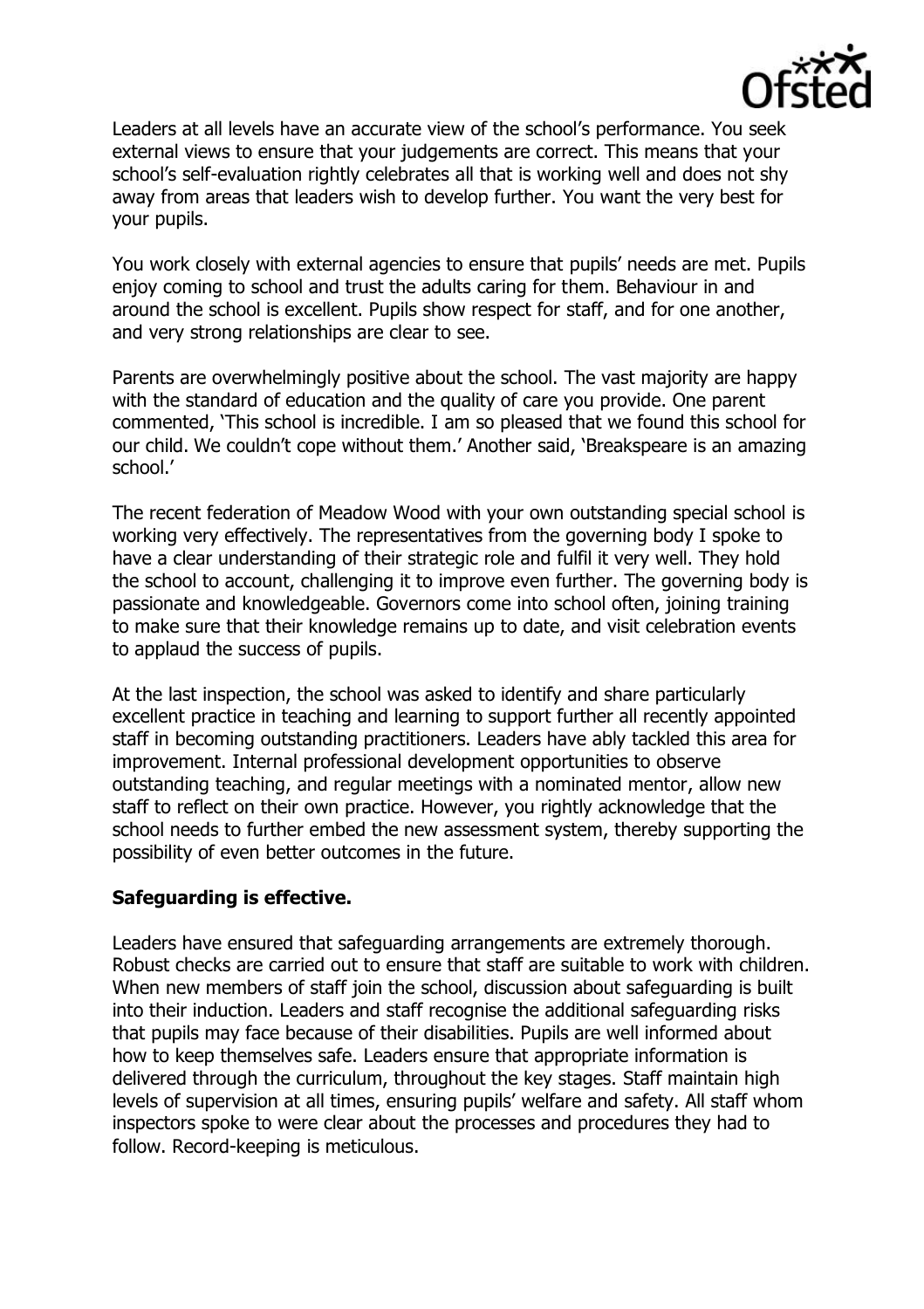

Leaders at all levels have an accurate view of the school's performance. You seek external views to ensure that your judgements are correct. This means that your school's self-evaluation rightly celebrates all that is working well and does not shy away from areas that leaders wish to develop further. You want the very best for your pupils.

You work closely with external agencies to ensure that pupils' needs are met. Pupils enjoy coming to school and trust the adults caring for them. Behaviour in and around the school is excellent. Pupils show respect for staff, and for one another, and very strong relationships are clear to see.

Parents are overwhelmingly positive about the school. The vast majority are happy with the standard of education and the quality of care you provide. One parent commented, 'This school is incredible. I am so pleased that we found this school for our child. We couldn't cope without them.' Another said, 'Breakspeare is an amazing school.'

The recent federation of Meadow Wood with your own outstanding special school is working very effectively. The representatives from the governing body I spoke to have a clear understanding of their strategic role and fulfil it very well. They hold the school to account, challenging it to improve even further. The governing body is passionate and knowledgeable. Governors come into school often, joining training to make sure that their knowledge remains up to date, and visit celebration events to applaud the success of pupils.

At the last inspection, the school was asked to identify and share particularly excellent practice in teaching and learning to support further all recently appointed staff in becoming outstanding practitioners. Leaders have ably tackled this area for improvement. Internal professional development opportunities to observe outstanding teaching, and regular meetings with a nominated mentor, allow new staff to reflect on their own practice. However, you rightly acknowledge that the school needs to further embed the new assessment system, thereby supporting the possibility of even better outcomes in the future.

## **Safeguarding is effective.**

Leaders have ensured that safeguarding arrangements are extremely thorough. Robust checks are carried out to ensure that staff are suitable to work with children. When new members of staff join the school, discussion about safeguarding is built into their induction. Leaders and staff recognise the additional safeguarding risks that pupils may face because of their disabilities. Pupils are well informed about how to keep themselves safe. Leaders ensure that appropriate information is delivered through the curriculum, throughout the key stages. Staff maintain high levels of supervision at all times, ensuring pupils' welfare and safety. All staff whom inspectors spoke to were clear about the processes and procedures they had to follow. Record-keeping is meticulous.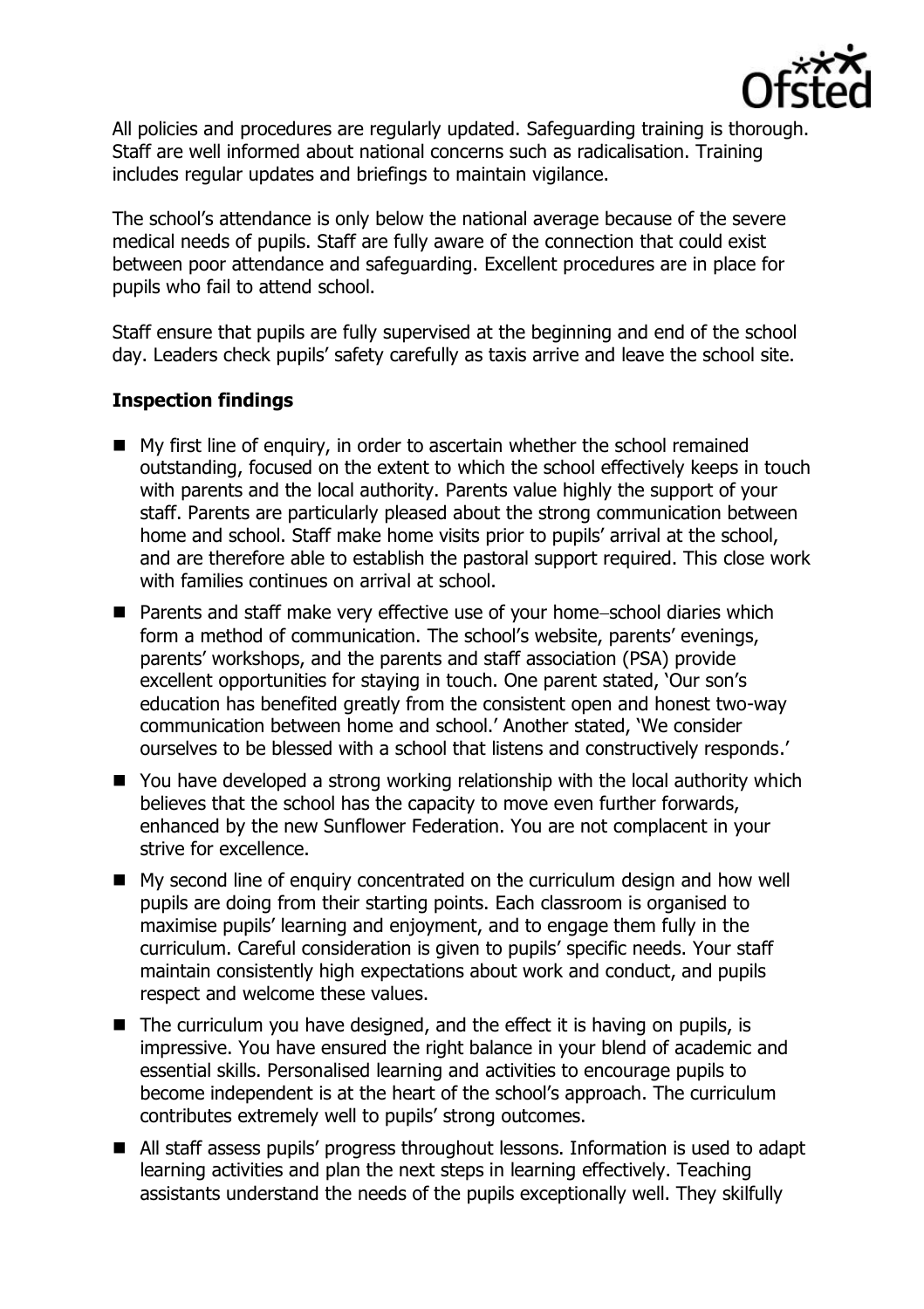

All policies and procedures are regularly updated. Safeguarding training is thorough. Staff are well informed about national concerns such as radicalisation. Training includes regular updates and briefings to maintain vigilance.

The school's attendance is only below the national average because of the severe medical needs of pupils. Staff are fully aware of the connection that could exist between poor attendance and safeguarding. Excellent procedures are in place for pupils who fail to attend school.

Staff ensure that pupils are fully supervised at the beginning and end of the school day. Leaders check pupils' safety carefully as taxis arrive and leave the school site.

## **Inspection findings**

- My first line of enquiry, in order to ascertain whether the school remained outstanding, focused on the extent to which the school effectively keeps in touch with parents and the local authority. Parents value highly the support of your staff. Parents are particularly pleased about the strong communication between home and school. Staff make home visits prior to pupils' arrival at the school, and are therefore able to establish the pastoral support required. This close work with families continues on arrival at school.
- $\blacksquare$  Parents and staff make very effective use of your home-school diaries which form a method of communication. The school's website, parents' evenings, parents' workshops, and the parents and staff association (PSA) provide excellent opportunities for staying in touch. One parent stated, 'Our son's education has benefited greatly from the consistent open and honest two-way communication between home and school.' Another stated, 'We consider ourselves to be blessed with a school that listens and constructively responds.'
- You have developed a strong working relationship with the local authority which believes that the school has the capacity to move even further forwards, enhanced by the new Sunflower Federation. You are not complacent in your strive for excellence.
- My second line of enquiry concentrated on the curriculum design and how well pupils are doing from their starting points. Each classroom is organised to maximise pupils' learning and enjoyment, and to engage them fully in the curriculum. Careful consideration is given to pupils' specific needs. Your staff maintain consistently high expectations about work and conduct, and pupils respect and welcome these values.
- $\blacksquare$  The curriculum you have designed, and the effect it is having on pupils, is impressive. You have ensured the right balance in your blend of academic and essential skills. Personalised learning and activities to encourage pupils to become independent is at the heart of the school's approach. The curriculum contributes extremely well to pupils' strong outcomes.
- All staff assess pupils' progress throughout lessons. Information is used to adapt learning activities and plan the next steps in learning effectively. Teaching assistants understand the needs of the pupils exceptionally well. They skilfully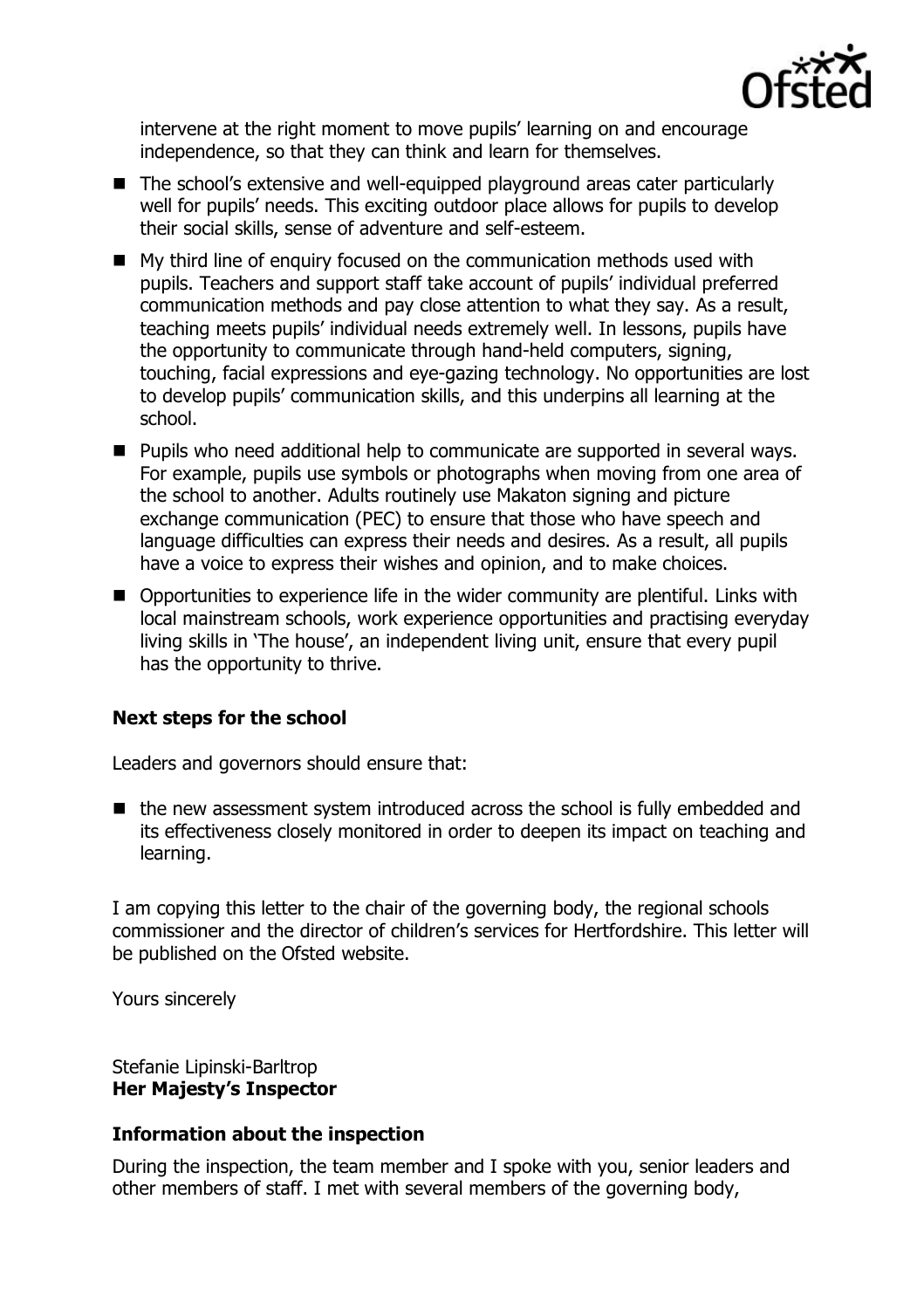

intervene at the right moment to move pupils' learning on and encourage independence, so that they can think and learn for themselves.

- The school's extensive and well-equipped playground areas cater particularly well for pupils' needs. This exciting outdoor place allows for pupils to develop their social skills, sense of adventure and self-esteem.
- My third line of enquiry focused on the communication methods used with pupils. Teachers and support staff take account of pupils' individual preferred communication methods and pay close attention to what they say. As a result, teaching meets pupils' individual needs extremely well. In lessons, pupils have the opportunity to communicate through hand-held computers, signing, touching, facial expressions and eye-gazing technology. No opportunities are lost to develop pupils' communication skills, and this underpins all learning at the school.
- **Pupils who need additional help to communicate are supported in several ways.** For example, pupils use symbols or photographs when moving from one area of the school to another. Adults routinely use Makaton signing and picture exchange communication (PEC) to ensure that those who have speech and language difficulties can express their needs and desires. As a result, all pupils have a voice to express their wishes and opinion, and to make choices.
- Opportunities to experience life in the wider community are plentiful. Links with local mainstream schools, work experience opportunities and practising everyday living skills in 'The house', an independent living unit, ensure that every pupil has the opportunity to thrive.

## **Next steps for the school**

Leaders and governors should ensure that:

■ the new assessment system introduced across the school is fully embedded and its effectiveness closely monitored in order to deepen its impact on teaching and learning.

I am copying this letter to the chair of the governing body, the regional schools commissioner and the director of children's services for Hertfordshire. This letter will be published on the Ofsted website.

Yours sincerely

Stefanie Lipinski-Barltrop **Her Majesty's Inspector**

# **Information about the inspection**

During the inspection, the team member and I spoke with you, senior leaders and other members of staff. I met with several members of the governing body,